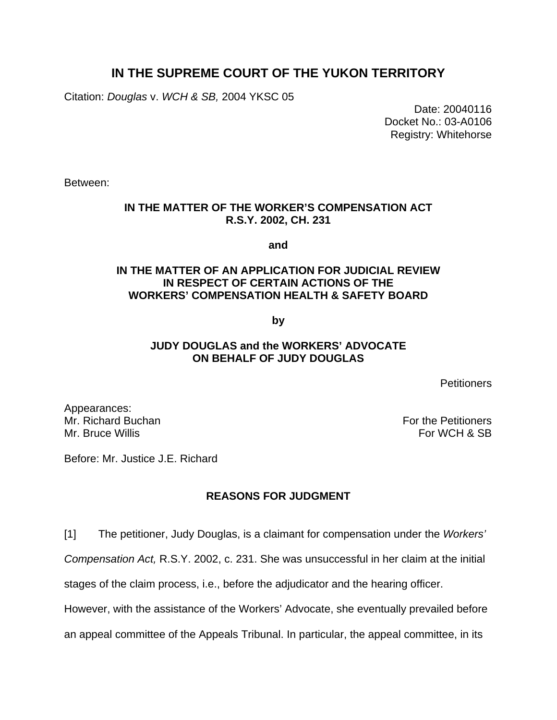# **IN THE SUPREME COURT OF THE YUKON TERRITORY**

Citation: *Douglas* v. *WCH & SB,* 2004 YKSC 05

 Date: 20040116 Docket No.: 03-A0106 Registry: Whitehorse

Between:

## **IN THE MATTER OF THE WORKER'S COMPENSATION ACT R.S.Y. 2002, CH. 231**

**and** 

### **IN THE MATTER OF AN APPLICATION FOR JUDICIAL REVIEW IN RESPECT OF CERTAIN ACTIONS OF THE WORKERS' COMPENSATION HEALTH & SAFETY BOARD**

**by** 

### **JUDY DOUGLAS and the WORKERS' ADVOCATE ON BEHALF OF JUDY DOUGLAS**

**Petitioners** 

Appearances: Mr. Richard Buchan For the Petitioners Mr. Bruce Willis For WCH & SB

Before: Mr. Justice J.E. Richard

# **REASONS FOR JUDGMENT**

[1] The petitioner, Judy Douglas, is a claimant for compensation under the *Workers'* 

*Compensation Act,* R.S.Y. 2002, c. 231. She was unsuccessful in her claim at the initial

stages of the claim process, i.e., before the adjudicator and the hearing officer.

However, with the assistance of the Workers' Advocate, she eventually prevailed before

an appeal committee of the Appeals Tribunal. In particular, the appeal committee, in its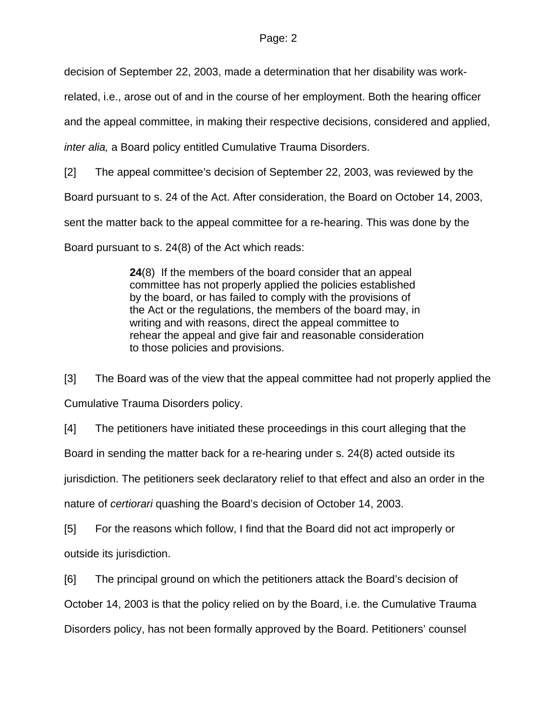decision of September 22, 2003, made a determination that her disability was work-

related, i.e., arose out of and in the course of her employment. Both the hearing officer

and the appeal committee, in making their respective decisions, considered and applied,

*inter alia,* a Board policy entitled Cumulative Trauma Disorders.

[2] The appeal committee's decision of September 22, 2003, was reviewed by the

Board pursuant to s. 24 of the Act. After consideration, the Board on October 14, 2003,

sent the matter back to the appeal committee for a re-hearing. This was done by the

Board pursuant to s. 24(8) of the Act which reads:

**24**(8) If the members of the board consider that an appeal committee has not properly applied the policies established by the board, or has failed to comply with the provisions of the Act or the regulations, the members of the board may, in writing and with reasons, direct the appeal committee to rehear the appeal and give fair and reasonable consideration to those policies and provisions.

[3] The Board was of the view that the appeal committee had not properly applied the Cumulative Trauma Disorders policy.

[4] The petitioners have initiated these proceedings in this court alleging that the

Board in sending the matter back for a re-hearing under s. 24(8) acted outside its

jurisdiction. The petitioners seek declaratory relief to that effect and also an order in the

nature of *certiorari* quashing the Board's decision of October 14, 2003.

[5] For the reasons which follow, I find that the Board did not act improperly or outside its jurisdiction.

[6] The principal ground on which the petitioners attack the Board's decision of

October 14, 2003 is that the policy relied on by the Board, i.e. the Cumulative Trauma

Disorders policy, has not been formally approved by the Board. Petitioners' counsel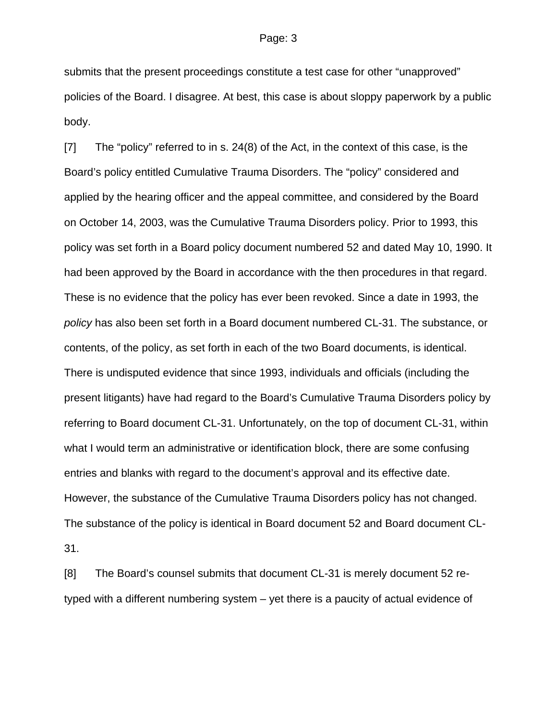#### Page: 3

submits that the present proceedings constitute a test case for other "unapproved" policies of the Board. I disagree. At best, this case is about sloppy paperwork by a public body.

[7] The "policy" referred to in s. 24(8) of the Act, in the context of this case, is the Board's policy entitled Cumulative Trauma Disorders. The "policy" considered and applied by the hearing officer and the appeal committee, and considered by the Board on October 14, 2003, was the Cumulative Trauma Disorders policy. Prior to 1993, this policy was set forth in a Board policy document numbered 52 and dated May 10, 1990. It had been approved by the Board in accordance with the then procedures in that regard. These is no evidence that the policy has ever been revoked. Since a date in 1993, the *policy* has also been set forth in a Board document numbered CL-31. The substance, or contents, of the policy, as set forth in each of the two Board documents, is identical. There is undisputed evidence that since 1993, individuals and officials (including the present litigants) have had regard to the Board's Cumulative Trauma Disorders policy by referring to Board document CL-31. Unfortunately, on the top of document CL-31, within what I would term an administrative or identification block, there are some confusing entries and blanks with regard to the document's approval and its effective date. However, the substance of the Cumulative Trauma Disorders policy has not changed. The substance of the policy is identical in Board document 52 and Board document CL-31.

[8] The Board's counsel submits that document CL-31 is merely document 52 retyped with a different numbering system – yet there is a paucity of actual evidence of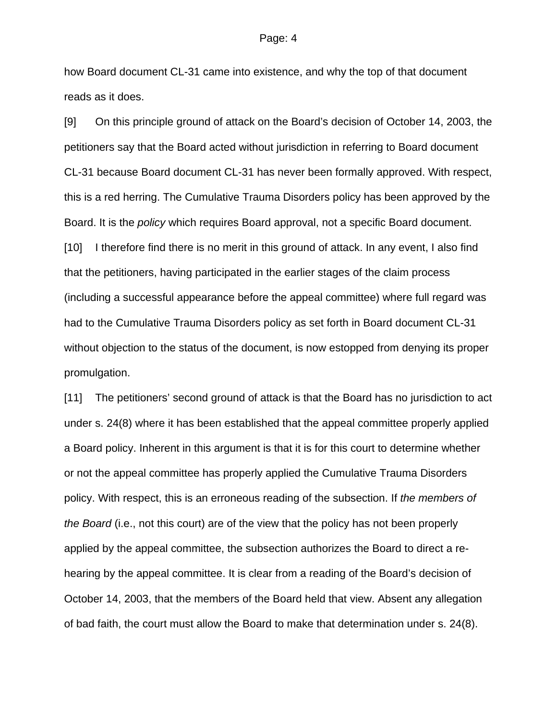#### Page: 4

how Board document CL-31 came into existence, and why the top of that document reads as it does.

[9] On this principle ground of attack on the Board's decision of October 14, 2003, the petitioners say that the Board acted without jurisdiction in referring to Board document CL-31 because Board document CL-31 has never been formally approved. With respect, this is a red herring. The Cumulative Trauma Disorders policy has been approved by the Board. It is the *policy* which requires Board approval, not a specific Board document. [10] I therefore find there is no merit in this ground of attack. In any event, I also find that the petitioners, having participated in the earlier stages of the claim process (including a successful appearance before the appeal committee) where full regard was had to the Cumulative Trauma Disorders policy as set forth in Board document CL-31 without objection to the status of the document, is now estopped from denying its proper promulgation.

[11] The petitioners' second ground of attack is that the Board has no jurisdiction to act under s. 24(8) where it has been established that the appeal committee properly applied a Board policy. Inherent in this argument is that it is for this court to determine whether or not the appeal committee has properly applied the Cumulative Trauma Disorders policy. With respect, this is an erroneous reading of the subsection. If *the members of the Board* (i.e., not this court) are of the view that the policy has not been properly applied by the appeal committee, the subsection authorizes the Board to direct a rehearing by the appeal committee. It is clear from a reading of the Board's decision of October 14, 2003, that the members of the Board held that view. Absent any allegation of bad faith, the court must allow the Board to make that determination under s. 24(8).